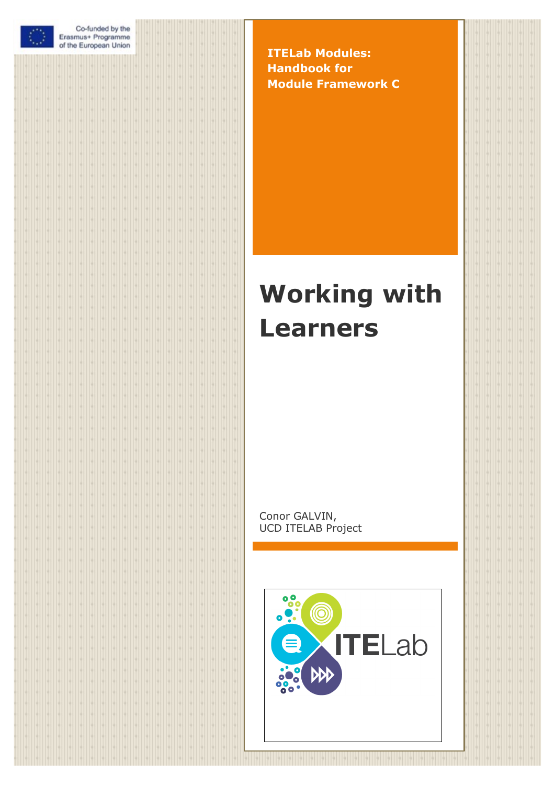|        | O      |        |        |        |         |        | Co-funded by the<br>Erasmus+ Programme<br>of the European Union |        |        |        |        |         |          |        |        |        |         |        |
|--------|--------|--------|--------|--------|---------|--------|-----------------------------------------------------------------|--------|--------|--------|--------|---------|----------|--------|--------|--------|---------|--------|
|        |        |        |        |        |         |        |                                                                 |        |        |        |        |         |          |        |        |        |         |        |
|        |        |        |        |        |         |        |                                                                 |        |        |        |        |         |          |        |        |        |         |        |
|        |        |        |        |        |         |        |                                                                 |        |        |        |        |         |          |        |        |        |         |        |
|        |        |        |        |        |         |        |                                                                 |        |        |        |        |         |          |        |        |        |         |        |
|        |        |        |        |        |         |        |                                                                 |        |        |        |        |         |          |        |        |        |         |        |
|        |        |        |        |        |         |        |                                                                 |        |        |        |        |         |          |        |        |        |         |        |
|        |        |        |        |        |         |        |                                                                 |        |        |        |        |         |          |        |        |        |         |        |
|        |        |        |        |        |         |        |                                                                 |        |        |        |        |         |          |        |        |        |         |        |
|        |        |        |        |        |         |        |                                                                 |        |        |        |        |         |          |        |        |        |         |        |
|        |        |        |        |        |         |        |                                                                 |        |        |        |        |         |          |        |        |        |         |        |
|        |        |        |        |        |         |        |                                                                 |        |        |        |        |         |          |        |        |        |         |        |
|        |        |        |        |        |         |        |                                                                 |        |        |        |        |         |          |        |        |        |         |        |
|        |        |        |        |        |         |        |                                                                 |        |        |        |        |         |          |        |        |        |         |        |
|        |        |        |        |        |         |        |                                                                 |        |        |        |        |         |          |        |        |        |         |        |
|        |        |        |        |        |         |        |                                                                 |        |        |        |        |         |          |        |        |        |         |        |
|        |        |        |        |        |         |        |                                                                 |        |        |        |        |         |          |        |        |        |         |        |
|        |        |        |        |        |         |        |                                                                 |        |        |        |        |         |          |        |        |        |         |        |
|        |        |        |        |        |         |        |                                                                 |        |        |        |        |         |          |        |        |        |         |        |
|        |        |        |        |        |         |        |                                                                 |        |        |        |        |         |          |        |        |        |         |        |
|        |        |        |        |        |         |        |                                                                 |        |        |        |        |         |          |        |        |        |         |        |
|        |        |        |        |        |         |        |                                                                 |        |        |        |        |         |          |        |        |        |         |        |
|        |        |        |        |        |         |        |                                                                 |        |        |        |        |         |          |        |        |        |         |        |
|        |        |        |        |        |         |        |                                                                 |        |        |        |        |         |          |        |        |        |         |        |
|        |        |        |        |        |         |        |                                                                 |        |        |        |        |         |          |        |        |        |         |        |
|        |        |        |        |        |         |        |                                                                 |        |        |        |        |         |          |        |        |        |         |        |
|        |        |        |        |        |         |        |                                                                 |        |        |        |        |         |          |        |        |        |         |        |
|        |        |        |        |        |         |        |                                                                 |        |        |        |        |         |          |        |        |        |         |        |
|        |        |        |        |        |         |        |                                                                 |        |        |        |        |         |          |        |        |        |         |        |
|        |        |        |        |        |         |        |                                                                 |        |        |        |        |         |          |        |        |        |         |        |
|        |        |        |        |        |         |        |                                                                 |        |        |        |        |         |          |        |        |        |         |        |
|        |        |        |        |        |         |        |                                                                 |        |        |        |        |         |          |        |        |        |         |        |
| ÷      | ٠      | ۰      | ÷      | н      | Н       | ۰      | ۰                                                               | ۰      | ٠      | ۰      | ۰      | ٠       | ۰        | ۰      | ÷      | ٠      |         |        |
| ÷      | ۰      | ۰      | ۰      | м      | H       | ۰      | H                                                               | ÷      | в      | ÷      | м      | Н       | ÷        | в      | ò      | ۰      |         |        |
| ł<br>÷ | ÷<br>M | H<br>H | ۰<br>÷ | W<br>M | H<br>H  | ۰<br>۰ | è<br>W                                                          | ÷<br>M | W<br>H | H<br>H | м<br>H | H<br>H  | è<br>÷   | ٠<br>ò | H<br>H | ۰<br>۰ | IФ<br>м |        |
| H      | ÷.     | H      | ÷      | M      | H       | ۰      | W                                                               | H      | в      | H      | H      | H       | ÷        | ٠      | ø      | ۰      | Н       |        |
| H      | ÷      | H      | ٠      | M      | Ю       | ۰      | м                                                               | ۰      | в      | H      | м      | Н       | ÷        |        | ۰      | ۰      | Н       |        |
| H      | ÷      | H      | ÷      | M      | H       | ۰      | W                                                               | ۰      | в      | H      | м      | м       | ۰        | ٥      | ٥      | ۰      | П       |        |
| H      | ÷      | H      | ۰      | W      | H       | ÷      | W                                                               | ۰      | ۰      | H      | м      | Н       | ÷        | ٥      | ۰      | ۰      | Ю       |        |
| ł      | ٠      | H      | ÷      | м      | W       | ÷      | ÷                                                               | ٠      | ٠      | ÷      | ۰      | H       | ÷        | ٠      | ۰      | ۰      | Ю       |        |
| ł<br>ł | ۰<br>÷ | ۰<br>۰ | ÷<br>÷ | ø<br>и | I÷<br>H | ÷<br>÷ | ÷<br>÷                                                          | ۰<br>ò | ۰<br>è | ÷<br>÷ | ٠      | I÷<br>Н | ÷<br>ł   | ۰<br>٠ | ۰<br>۰ | ÷<br>ò | ю<br>٠  | ٠<br>۰ |
| ł      | ÷.     | ۰      | ò      | è      | H       | ÷      | ÷                                                               | ۰      | è      | ÷      | ٠      | W       | ÷        | ٠      | ۰      | ò      | è       | ۰      |
| ł      | ÷      | ٥      | ۰      | в      | W       | ÷      | ÷                                                               | ۰      | ٠      | ÷      |        | Н       | ÷        | w      | ۰      | ٠      | ٥       | ٠      |
| ł      | ÷      | Н      | ۰      | ٠      | I÷      | è      | è                                                               | ۰      | в      | ÷      |        | Iė      | ÷        | ø      | ۰      | ٥      |         |        |
| ł      | ٠      | м      | ÷      | м      | H       | ۰      | ÷                                                               | ۰      | è      | ÷      | ٠      | Iė      | ł        | w      | ٥      | ٥      |         |        |
| ÷      | ÷      | H      | ÷      | м      | H       | ÷      | H                                                               | ۰      | в      | H      | в      | Н       | ÷        | M      | H      | ٠      | ٠       |        |
| ł<br>ł | ÷<br>÷ | H<br>H | ÷<br>÷ | H<br>м | H<br>ŀ  | ÷<br>÷ | H<br>N                                                          | M<br>÷ | в<br>в | H<br>H | H<br>м | W<br>W  | ł.<br>ò. | M<br>M | H<br>H | ۰<br>٠ | ю<br>ю  |        |
| ł      | ÷      | N      | ÷.     | м      | ŀ       | ÷      | W                                                               | M      | W      | N      | м      | W       | ÷        | M      | H      | ۰      | ю       |        |
| ł      | ÷      | W      | ÷.     | W      | H       | ÷      | N                                                               | M      | W      | N.     | H      | N       | O        | M      | H      | ۰      | ю       |        |
| ł      | ÷      | W      | ۰I     | W      | H       | ۰      | W                                                               | ÷      | W      | N.     | H      | H       | ÷        | u      | H      | ۰      | Н       |        |
| ÷      | ٠      | W      | ÷      | м      | H       | ۰      | ٠                                                               | ۰      | ۰      | H      | м      | Н       | ÷        | н      | ٥      | ÷      | ю       |        |
| ł      | ٠      | ۰      | è      | è      | Н       | ò      | ò                                                               | ò      | è      | ÷      | ٠      | è       | ò        | ٥      | è      | ò      | è<br>ô  |        |
| ł<br>ł |        | ò      | ÷<br>è |        | ÷<br>ł  | ò<br>۰ | ò<br>ê                                                          | ò      |        | è<br>è |        | ò       | ÷<br>ł   |        | ò<br>ł |        |         |        |
| ł      |        |        |        |        | ł       | è      | è                                                               | ÷      |        | è      |        |         | ł        | ê      | è      |        |         |        |
|        |        |        |        |        |         |        |                                                                 |        |        |        |        |         |          |        |        |        |         |        |

**ITELab Modules: Handbook for Module Framework C**

# **Working with Learners**

Conor GALVIN, UCD ITELAB Project

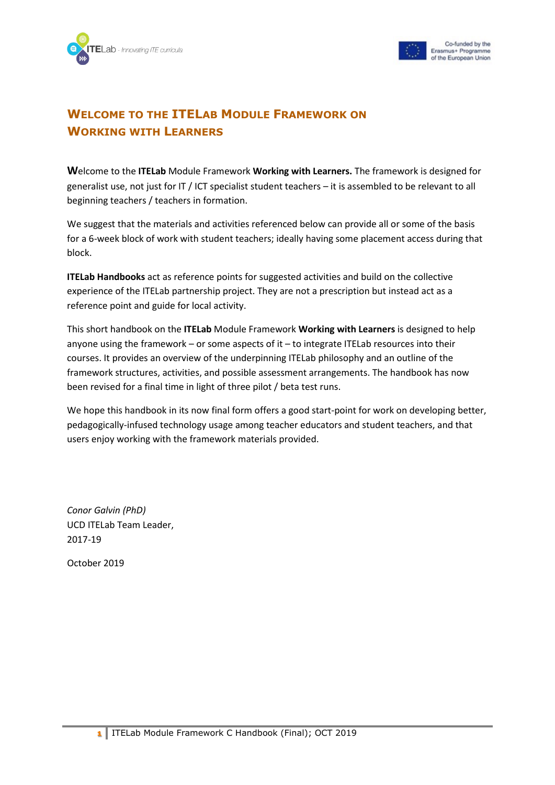



## **WELCOME TO THE ITELAB MODULE FRAMEWORK ON WORKING WITH LEARNERS**

**W**elcome to the **ITELab** Module Framework **Working with Learners.** The framework is designed for generalist use, not just for IT / ICT specialist student teachers – it is assembled to be relevant to all beginning teachers / teachers in formation.

We suggest that the materials and activities referenced below can provide all or some of the basis for a 6-week block of work with student teachers; ideally having some placement access during that block.

**ITELab Handbooks** act as reference points for suggested activities and build on the collective experience of the ITELab partnership project. They are not a prescription but instead act as a reference point and guide for local activity.

This short handbook on the **ITELab** Module Framework **Working with Learners** is designed to help anyone using the framework – or some aspects of it – to integrate ITELab resources into their courses. It provides an overview of the underpinning ITELab philosophy and an outline of the framework structures, activities, and possible assessment arrangements. The handbook has now been revised for a final time in light of three pilot / beta test runs.

We hope this handbook in its now final form offers a good start-point for work on developing better, pedagogically-infused technology usage among teacher educators and student teachers, and that users enjoy working with the framework materials provided.

*Conor Galvin (PhD)* UCD ITELab Team Leader, 2017-19

October 2019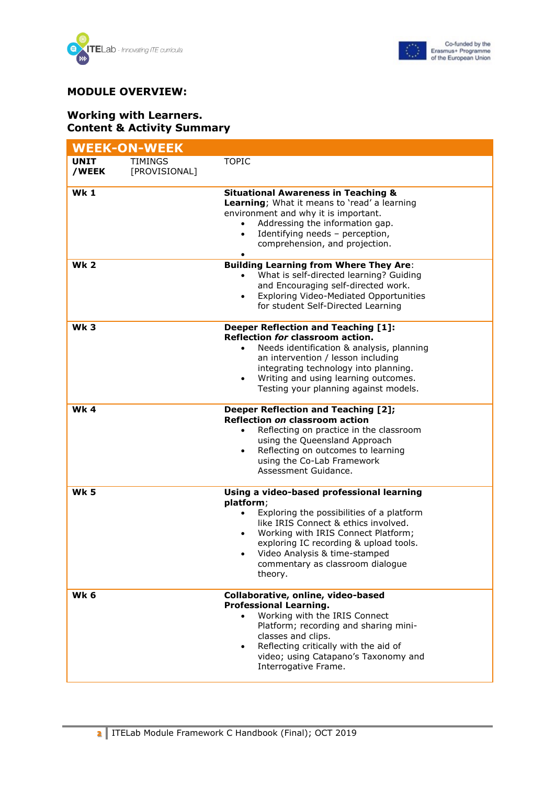



#### **MODULE OVERVIEW:**

#### **Working with Learners. Content & Activity Summary**

|                      | <b>WEEK-ON-WEEK</b>             |                                                                                                                                                                                                                                                                                                                           |
|----------------------|---------------------------------|---------------------------------------------------------------------------------------------------------------------------------------------------------------------------------------------------------------------------------------------------------------------------------------------------------------------------|
| <b>UNIT</b><br>/WEEK | <b>TIMINGS</b><br>[PROVISIONAL] | <b>TOPIC</b>                                                                                                                                                                                                                                                                                                              |
| <b>Wk1</b>           |                                 | <b>Situational Awareness in Teaching &amp;</b><br>Learning; What it means to 'read' a learning<br>environment and why it is important.<br>Addressing the information gap.<br>Identifying needs - perception,<br>comprehension, and projection.                                                                            |
| <b>Wk 2</b>          |                                 | <b>Building Learning from Where They Are:</b><br>What is self-directed learning? Guiding<br>$\bullet$<br>and Encouraging self-directed work.<br><b>Exploring Video-Mediated Opportunities</b><br>for student Self-Directed Learning                                                                                       |
| <b>Wk3</b>           |                                 | <b>Deeper Reflection and Teaching [1]:</b><br>Reflection for classroom action.<br>Needs identification & analysis, planning<br>$\bullet$<br>an intervention / lesson including<br>integrating technology into planning.<br>Writing and using learning outcomes.<br>Testing your planning against models.                  |
| <b>Wk4</b>           |                                 | <b>Deeper Reflection and Teaching [2];</b><br>Reflection on classroom action<br>Reflecting on practice in the classroom<br>using the Queensland Approach<br>Reflecting on outcomes to learning<br>$\bullet$<br>using the Co-Lab Framework<br>Assessment Guidance.                                                         |
| <b>Wk 5</b>          |                                 | Using a video-based professional learning<br>platform;<br>Exploring the possibilities of a platform<br>like IRIS Connect & ethics involved.<br>Working with IRIS Connect Platform;<br>$\bullet$<br>exploring IC recording & upload tools.<br>Video Analysis & time-stamped<br>commentary as classroom dialogue<br>theory. |
| Wk 6                 |                                 | Collaborative, online, video-based<br><b>Professional Learning.</b><br>Working with the IRIS Connect<br>$\bullet$<br>Platform; recording and sharing mini-<br>classes and clips.<br>Reflecting critically with the aid of<br>$\bullet$<br>video; using Catapano's Taxonomy and<br>Interrogative Frame.                    |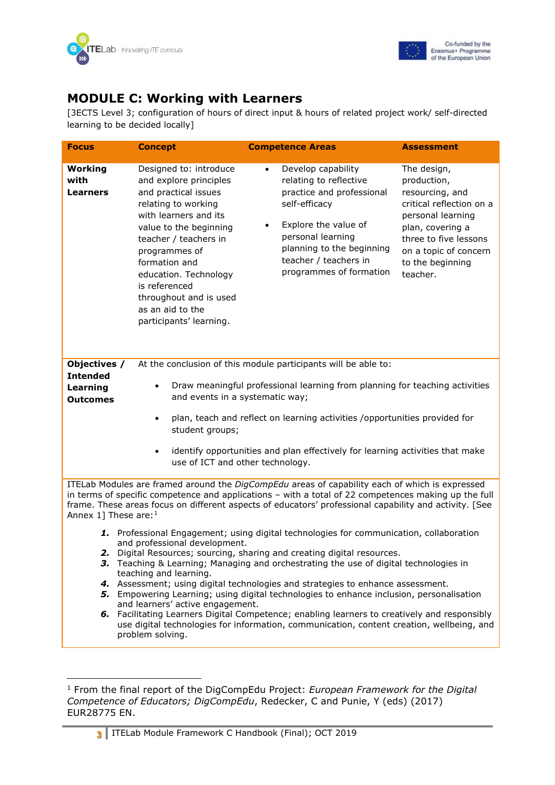



## **MODULE C: Working with Learners**

[3ECTS Level 3; configuration of hours of direct input & hours of related project work/ self-directed learning to be decided locally]

| <b>Focus</b>                                                   | <b>Concept</b>                                                                                                                                                                                                                                                                                                                   | <b>Competence Areas</b>                                                                                                                                                                                                                                                                                                                                                                                                                                                                                                                                                                                                              | <b>Assessment</b>                                                                                                                                                                                    |
|----------------------------------------------------------------|----------------------------------------------------------------------------------------------------------------------------------------------------------------------------------------------------------------------------------------------------------------------------------------------------------------------------------|--------------------------------------------------------------------------------------------------------------------------------------------------------------------------------------------------------------------------------------------------------------------------------------------------------------------------------------------------------------------------------------------------------------------------------------------------------------------------------------------------------------------------------------------------------------------------------------------------------------------------------------|------------------------------------------------------------------------------------------------------------------------------------------------------------------------------------------------------|
| Working<br>with<br><b>Learners</b>                             | Designed to: introduce<br>and explore principles<br>and practical issues<br>relating to working<br>with learners and its<br>value to the beginning<br>teacher / teachers in<br>programmes of<br>formation and<br>education. Technology<br>is referenced<br>throughout and is used<br>as an aid to the<br>participants' learning. | Develop capability<br>$\bullet$<br>relating to reflective<br>practice and professional<br>self-efficacy<br>Explore the value of<br>personal learning<br>planning to the beginning<br>teacher / teachers in<br>programmes of formation                                                                                                                                                                                                                                                                                                                                                                                                | The design,<br>production,<br>resourcing, and<br>critical reflection on a<br>personal learning<br>plan, covering a<br>three to five lessons<br>on a topic of concern<br>to the beginning<br>teacher. |
| Objectives /<br><b>Intended</b><br>Learning<br><b>Outcomes</b> | and events in a systematic way;<br>$\bullet$<br>student groups;<br>$\bullet$<br>use of ICT and other technology.                                                                                                                                                                                                                 | At the conclusion of this module participants will be able to:<br>Draw meaningful professional learning from planning for teaching activities<br>plan, teach and reflect on learning activities /opportunities provided for<br>identify opportunities and plan effectively for learning activities that make                                                                                                                                                                                                                                                                                                                         |                                                                                                                                                                                                      |
| Annex 1] These are: $1$                                        |                                                                                                                                                                                                                                                                                                                                  | ITELab Modules are framed around the DigCompEdu areas of capability each of which is expressed<br>in terms of specific competence and applications - with a total of 22 competences making up the full<br>frame. These areas focus on different aspects of educators' professional capability and activity. [See                                                                                                                                                                                                                                                                                                                     |                                                                                                                                                                                                      |
| 2.                                                             | and professional development.<br>teaching and learning.<br>and learners' active engagement.<br>problem solving.                                                                                                                                                                                                                  | 1. Professional Engagement; using digital technologies for communication, collaboration<br>Digital Resources; sourcing, sharing and creating digital resources.<br>3. Teaching & Learning; Managing and orchestrating the use of digital technologies in<br>4. Assessment; using digital technologies and strategies to enhance assessment.<br>5. Empowering Learning; using digital technologies to enhance inclusion, personalisation<br>6. Facilitating Learners Digital Competence; enabling learners to creatively and responsibly<br>use digital technologies for information, communication, content creation, wellbeing, and |                                                                                                                                                                                                      |

<span id="page-3-0"></span><sup>1</sup> From the final report of the DigCompEdu Project: *European Framework for the Digital Competence of Educators; DigCompEdu*, Redecker, C and Punie, Y (eds) (2017) EUR28775 EN.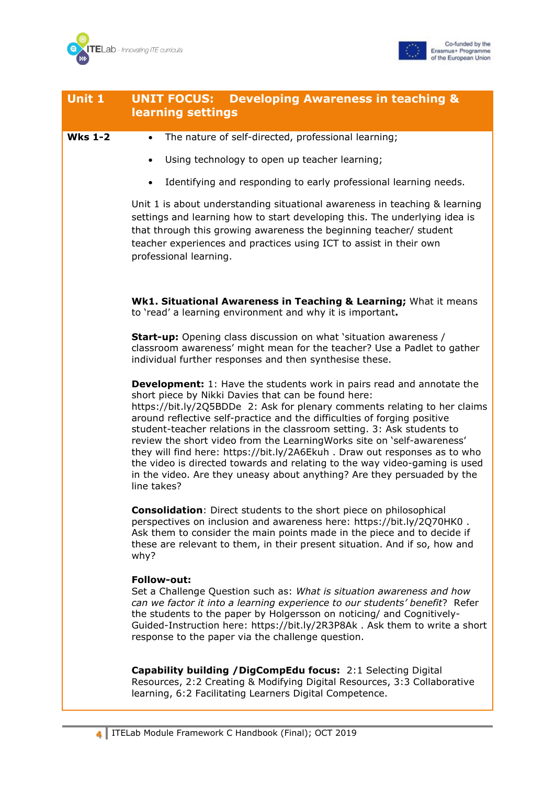



| Unit 1         | <b>Developing Awareness in teaching &amp;</b><br><b>UNIT FOCUS:</b><br>learning settings                                                                                                                                                                                                                                                                                                                                                                                                                                                                                                                                                                                                                |
|----------------|---------------------------------------------------------------------------------------------------------------------------------------------------------------------------------------------------------------------------------------------------------------------------------------------------------------------------------------------------------------------------------------------------------------------------------------------------------------------------------------------------------------------------------------------------------------------------------------------------------------------------------------------------------------------------------------------------------|
| <b>Wks 1-2</b> | The nature of self-directed, professional learning;<br>$\bullet$                                                                                                                                                                                                                                                                                                                                                                                                                                                                                                                                                                                                                                        |
|                | Using technology to open up teacher learning;<br>$\bullet$                                                                                                                                                                                                                                                                                                                                                                                                                                                                                                                                                                                                                                              |
|                | Identifying and responding to early professional learning needs.<br>$\bullet$                                                                                                                                                                                                                                                                                                                                                                                                                                                                                                                                                                                                                           |
|                | Unit 1 is about understanding situational awareness in teaching & learning<br>settings and learning how to start developing this. The underlying idea is<br>that through this growing awareness the beginning teacher/ student<br>teacher experiences and practices using ICT to assist in their own<br>professional learning.                                                                                                                                                                                                                                                                                                                                                                          |
|                | Wk1. Situational Awareness in Teaching & Learning; What it means<br>to 'read' a learning environment and why it is important.                                                                                                                                                                                                                                                                                                                                                                                                                                                                                                                                                                           |
|                | <b>Start-up:</b> Opening class discussion on what 'situation awareness /<br>classroom awareness' might mean for the teacher? Use a Padlet to gather<br>individual further responses and then synthesise these.                                                                                                                                                                                                                                                                                                                                                                                                                                                                                          |
|                | <b>Development:</b> 1: Have the students work in pairs read and annotate the<br>short piece by Nikki Davies that can be found here:<br>https://bit.ly/2Q5BDDe 2: Ask for plenary comments relating to her claims<br>around reflective self-practice and the difficulties of forging positive<br>student-teacher relations in the classroom setting. 3: Ask students to<br>review the short video from the Learning Works site on 'self-awareness'<br>they will find here: https://bit.ly/2A6Ekuh . Draw out responses as to who<br>the video is directed towards and relating to the way video-gaming is used<br>in the video. Are they uneasy about anything? Are they persuaded by the<br>line takes? |
|                | <b>Consolidation:</b> Direct students to the short piece on philosophical<br>perspectives on inclusion and awareness here: https://bit.ly/2Q70HK0.<br>Ask them to consider the main points made in the piece and to decide if<br>these are relevant to them, in their present situation. And if so, how and<br>why?                                                                                                                                                                                                                                                                                                                                                                                     |
|                | <b>Follow-out:</b><br>Set a Challenge Question such as: What is situation awareness and how<br>can we factor it into a learning experience to our students' benefit? Refer<br>the students to the paper by Holgersson on noticing/ and Cognitively-<br>Guided-Instruction here: https://bit.ly/2R3P8Ak . Ask them to write a short<br>response to the paper via the challenge question.                                                                                                                                                                                                                                                                                                                 |
|                | <b>Capability building / DigCompEdu focus: 2:1 Selecting Digital</b><br>Resources, 2:2 Creating & Modifying Digital Resources, 3:3 Collaborative<br>learning, 6:2 Facilitating Learners Digital Competence.                                                                                                                                                                                                                                                                                                                                                                                                                                                                                             |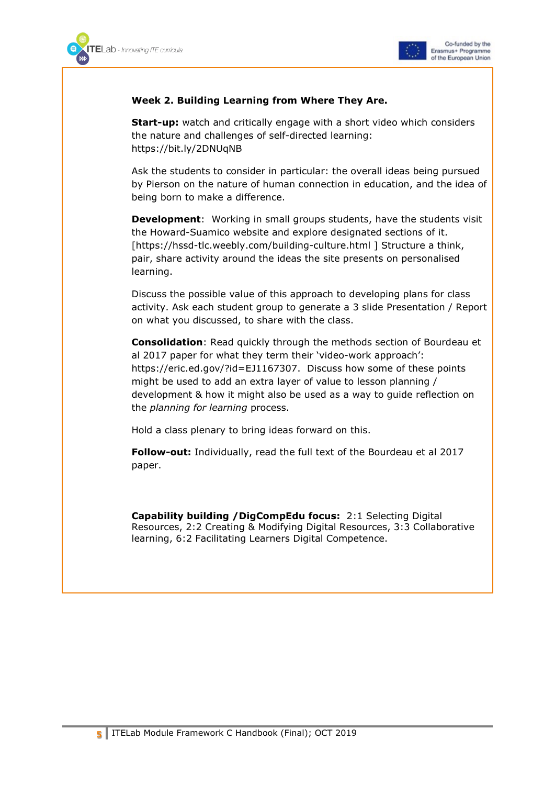



#### **Week 2. Building Learning from Where They Are.**

**Start-up:** watch and critically engage with a short video which considers the nature and challenges of self-directed learning: https://bit.ly/2DNUqNB

Ask the students to consider in particular: the overall ideas being pursued by Pierson on the nature of human connection in education, and the idea of being born to make a difference.

**Development**: Working in small groups students, have the students visit the Howard-Suamico website and explore designated sections of it. [https://hssd-tlc.weebly.com/building-culture.html ] Structure a think, pair, share activity around the ideas the site presents on personalised learning.

Discuss the possible value of this approach to developing plans for class activity. Ask each student group to generate a 3 slide Presentation / Report on what you discussed, to share with the class.

**Consolidation**: Read quickly through the methods section of Bourdeau et al 2017 paper for what they term their 'video-work approach': https://eric.ed.gov/?id=EJ1167307. Discuss how some of these points might be used to add an extra layer of value to lesson planning / development & how it might also be used as a way to guide reflection on the *planning for learning* process.

Hold a class plenary to bring ideas forward on this.

**Follow-out:** Individually, read the full text of the Bourdeau et al 2017 paper.

**Capability building /DigCompEdu focus:** 2:1 Selecting Digital Resources, 2:2 Creating & Modifying Digital Resources, 3:3 Collaborative learning, 6:2 Facilitating Learners Digital Competence.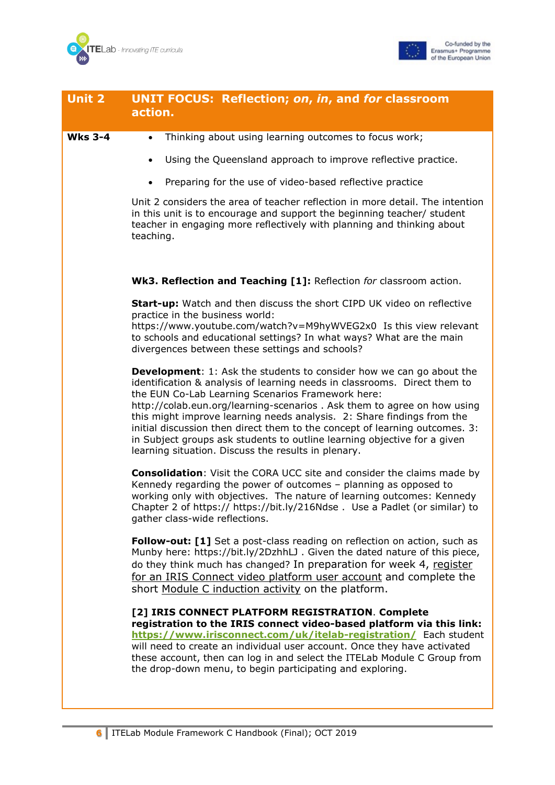



| <b>Unit 2</b>  | <b>UNIT FOCUS: Reflection; on, in, and for classroom</b><br>action.                                                                                                                                                                                                                                                                                                                                                                                                                                                                                                                   |
|----------------|---------------------------------------------------------------------------------------------------------------------------------------------------------------------------------------------------------------------------------------------------------------------------------------------------------------------------------------------------------------------------------------------------------------------------------------------------------------------------------------------------------------------------------------------------------------------------------------|
|                |                                                                                                                                                                                                                                                                                                                                                                                                                                                                                                                                                                                       |
| <b>Wks 3-4</b> | Thinking about using learning outcomes to focus work;<br>$\bullet$                                                                                                                                                                                                                                                                                                                                                                                                                                                                                                                    |
|                | Using the Queensland approach to improve reflective practice.<br>$\bullet$                                                                                                                                                                                                                                                                                                                                                                                                                                                                                                            |
|                | Preparing for the use of video-based reflective practice<br>$\bullet$                                                                                                                                                                                                                                                                                                                                                                                                                                                                                                                 |
|                | Unit 2 considers the area of teacher reflection in more detail. The intention<br>in this unit is to encourage and support the beginning teacher/ student<br>teacher in engaging more reflectively with planning and thinking about<br>teaching.                                                                                                                                                                                                                                                                                                                                       |
|                | Wk3. Reflection and Teaching [1]: Reflection for classroom action.                                                                                                                                                                                                                                                                                                                                                                                                                                                                                                                    |
|                | <b>Start-up:</b> Watch and then discuss the short CIPD UK video on reflective<br>practice in the business world:<br>https://www.youtube.com/watch?v=M9hyWVEG2x0 Is this view relevant                                                                                                                                                                                                                                                                                                                                                                                                 |
|                | to schools and educational settings? In what ways? What are the main<br>divergences between these settings and schools?                                                                                                                                                                                                                                                                                                                                                                                                                                                               |
|                | <b>Development:</b> 1: Ask the students to consider how we can go about the<br>identification & analysis of learning needs in classrooms. Direct them to<br>the EUN Co-Lab Learning Scenarios Framework here:<br>http://colab.eun.org/learning-scenarios . Ask them to agree on how using<br>this might improve learning needs analysis. 2: Share findings from the<br>initial discussion then direct them to the concept of learning outcomes. 3:<br>in Subject groups ask students to outline learning objective for a given<br>learning situation. Discuss the results in plenary. |
|                | <b>Consolidation:</b> Visit the CORA UCC site and consider the claims made by<br>Kennedy regarding the power of outcomes - planning as opposed to<br>working only with objectives. The nature of learning outcomes: Kennedy<br>Chapter 2 of https:// https://bit.ly/216Ndse . Use a Padlet (or similar) to<br>gather class-wide reflections.                                                                                                                                                                                                                                          |
|                | Follow-out: [1] Set a post-class reading on reflection on action, such as<br>Munby here: https://bit.ly/2DzhhLJ. Given the dated nature of this piece,<br>do they think much has changed? In preparation for week 4, register<br>for an IRIS Connect video platform user account and complete the<br>short Module C induction activity on the platform.                                                                                                                                                                                                                               |
|                | [2] IRIS CONNECT PLATFORM REGISTRATION. Complete<br>registration to the IRIS connect video-based platform via this link:<br>https://www.irisconnect.com/uk/itelab-registration/ Each student<br>will need to create an individual user account. Once they have activated<br>these account, then can log in and select the ITELab Module C Group from<br>the drop-down menu, to begin participating and exploring.                                                                                                                                                                     |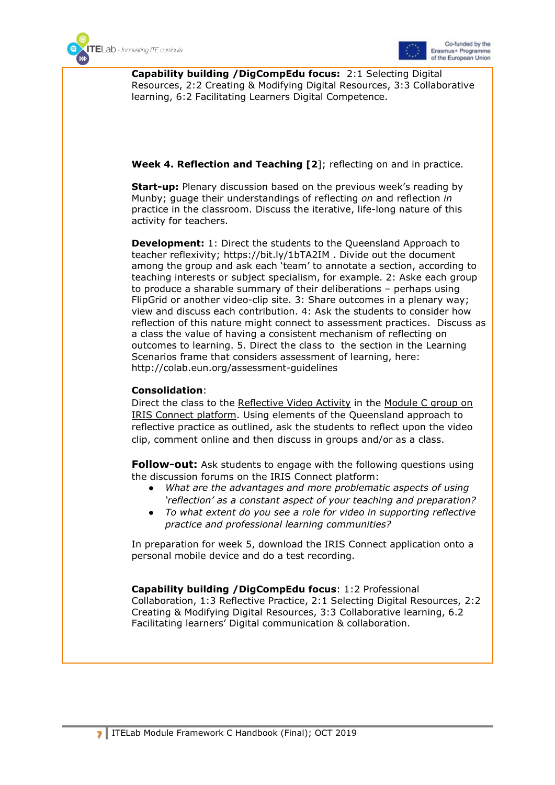



**Capability building /DigCompEdu focus:** 2:1 Selecting Digital Resources, 2:2 Creating & Modifying Digital Resources, 3:3 Collaborative learning, 6:2 Facilitating Learners Digital Competence.

#### **Week 4. Reflection and Teaching [2**]; reflecting on and in practice.

**Start-up:** Plenary discussion based on the previous week's reading by Munby; guage their understandings of reflecting *on* and reflection *in* practice in the classroom. Discuss the iterative, life-long nature of this activity for teachers.

**Development:** 1: Direct the students to the Queensland Approach to teacher reflexivity; https://bit.ly/1bTA2IM . Divide out the document among the group and ask each 'team' to annotate a section, according to teaching interests or subject specialism, for example. 2: Aske each group to produce a sharable summary of their deliberations – perhaps using FlipGrid or another video-clip site. 3: Share outcomes in a plenary way; view and discuss each contribution. 4: Ask the students to consider how reflection of this nature might connect to assessment practices. Discuss as a class the value of having a consistent mechanism of reflecting on outcomes to learning. 5. Direct the class to the section in the Learning Scenarios frame that considers assessment of learning, here: http://colab.eun.org/assessment-guidelines

#### **Consolidation**:

Direct the class to the Reflective Video Activity in the Module C group on IRIS Connect platform. Using elements of the Queensland approach to reflective practice as outlined, ask the students to reflect upon the video clip, comment online and then discuss in groups and/or as a class.

**Follow-out:** Ask students to engage with the following questions using the discussion forums on the IRIS Connect platform:

- What are the advantages and more problematic aspects of using *'reflection' as a constant aspect of your teaching and preparation?*
- *To what extent do you see a role for video in supporting reflective practice and professional learning communities?*

In preparation for week 5, download the IRIS Connect application onto a personal mobile device and do a test recording.

**Capability building /DigCompEdu focus**: 1:2 Professional Collaboration, 1:3 Reflective Practice, 2:1 Selecting Digital Resources, 2:2 Creating & Modifying Digital Resources, 3:3 Collaborative learning, 6.2 Facilitating learners' Digital communication & collaboration.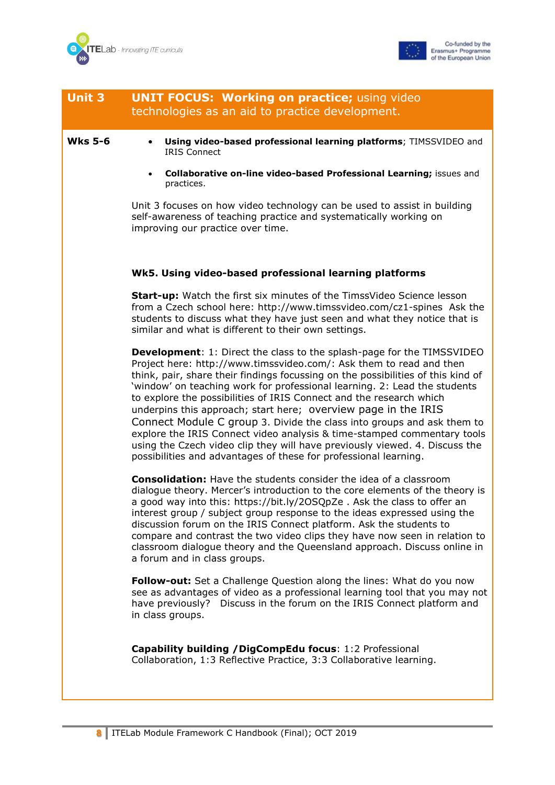



| <b>Unit 3</b>  | <b>UNIT FOCUS: Working on practice; using video</b><br>technologies as an aid to practice development.                                                                                                                                                                                                                                                                                                                                                                                                                                                                                                                                                                                                                                                                 |
|----------------|------------------------------------------------------------------------------------------------------------------------------------------------------------------------------------------------------------------------------------------------------------------------------------------------------------------------------------------------------------------------------------------------------------------------------------------------------------------------------------------------------------------------------------------------------------------------------------------------------------------------------------------------------------------------------------------------------------------------------------------------------------------------|
| <b>Wks 5-6</b> | Using video-based professional learning platforms; TIMSSVIDEO and<br>$\bullet$<br><b>IRIS Connect</b>                                                                                                                                                                                                                                                                                                                                                                                                                                                                                                                                                                                                                                                                  |
|                | Collaborative on-line video-based Professional Learning; issues and<br>$\bullet$<br>practices.                                                                                                                                                                                                                                                                                                                                                                                                                                                                                                                                                                                                                                                                         |
|                | Unit 3 focuses on how video technology can be used to assist in building<br>self-awareness of teaching practice and systematically working on<br>improving our practice over time.                                                                                                                                                                                                                                                                                                                                                                                                                                                                                                                                                                                     |
|                | Wk5. Using video-based professional learning platforms                                                                                                                                                                                                                                                                                                                                                                                                                                                                                                                                                                                                                                                                                                                 |
|                | <b>Start-up:</b> Watch the first six minutes of the TimssVideo Science lesson<br>from a Czech school here: http://www.timssvideo.com/cz1-spines Ask the<br>students to discuss what they have just seen and what they notice that is<br>similar and what is different to their own settings.                                                                                                                                                                                                                                                                                                                                                                                                                                                                           |
|                | <b>Development:</b> 1: Direct the class to the splash-page for the TIMSSVIDEO<br>Project here: http://www.timssvideo.com/: Ask them to read and then<br>think, pair, share their findings focussing on the possibilities of this kind of<br>'window' on teaching work for professional learning. 2: Lead the students<br>to explore the possibilities of IRIS Connect and the research which<br>underpins this approach; start here; overview page in the IRIS<br>Connect Module C group 3. Divide the class into groups and ask them to<br>explore the IRIS Connect video analysis & time-stamped commentary tools<br>using the Czech video clip they will have previously viewed. 4. Discuss the<br>possibilities and advantages of these for professional learning. |
|                | <b>Consolidation:</b> Have the students consider the idea of a classroom<br>dialogue theory. Mercer's introduction to the core elements of the theory is<br>a good way into this: https://bit.ly/2OSQpZe. Ask the class to offer an<br>interest group / subject group response to the ideas expressed using the<br>discussion forum on the IRIS Connect platform. Ask the students to<br>compare and contrast the two video clips they have now seen in relation to<br>classroom dialogue theory and the Queensland approach. Discuss online in<br>a forum and in class groups.                                                                                                                                                                                        |
|                | Follow-out: Set a Challenge Question along the lines: What do you now<br>see as advantages of video as a professional learning tool that you may not<br>Discuss in the forum on the IRIS Connect platform and<br>have previously?<br>in class groups.                                                                                                                                                                                                                                                                                                                                                                                                                                                                                                                  |
|                | Capability building / DigCompEdu focus: 1:2 Professional<br>Collaboration, 1:3 Reflective Practice, 3:3 Collaborative learning.                                                                                                                                                                                                                                                                                                                                                                                                                                                                                                                                                                                                                                        |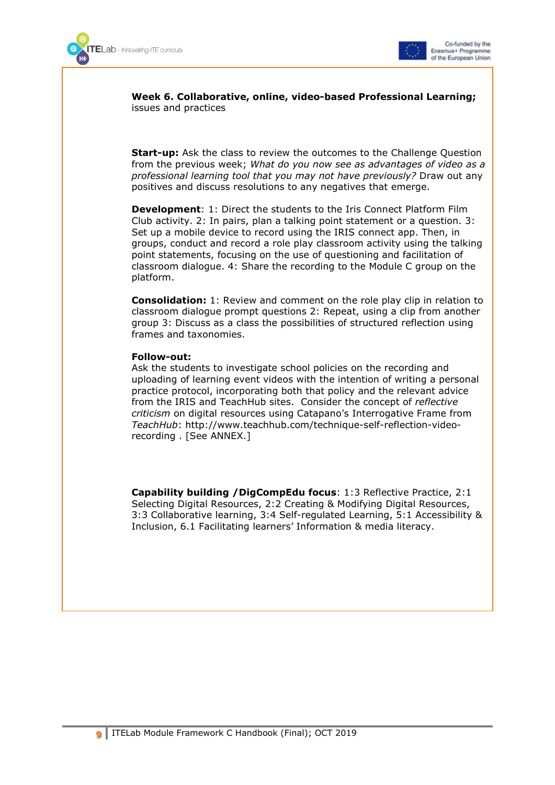



**Week 6. Collaborative, online, video-based Professional Learning;**  issues and practices

**Start-up:** Ask the class to review the outcomes to the Challenge Question from the previous week; *What do you now see as advantages of video as a professional learning tool that you may not have previously?* Draw out any positives and discuss resolutions to any negatives that emerge.

**Development**: 1: Direct the students to the [Iris Connect Platform Film](https://europe.irisconnect.com/groups/20084/pages/33926)  [Club activity. 2:](https://europe.irisconnect.com/groups/20084/pages/33926) In pairs, plan a talking point statement or a question. 3: Set up a mobile device to record using the IRIS connect app. Then, in groups, conduct and record a role play classroom activity using the talking point statements, focusing on the use of questioning and facilitation of classroom dialogue. 4: Share the recording to the Module C group on the platform.

**Consolidation:** 1: Review and comment on the role play clip in relation to classroom dialogue prompt questions 2: Repeat, using a clip from another group 3: Discuss as a class the possibilities of structured reflection using frames and taxonomies.

#### **Follow-out:**

Ask the students to investigate school policies on the recording and uploading of learning event videos with the intention of writing a personal practice protocol, incorporating both that policy and the relevant advice from the IRIS and TeachHub sites. Consider the concept of *reflective criticism* on digital resources using Catapano's Interrogative Frame from *TeachHub*: http://www.teachhub.com/technique-self-reflection-videorecording . [See ANNEX.]

**Capability building /DigCompEdu focus**: 1:3 Reflective Practice, 2:1 Selecting Digital Resources, 2:2 Creating & Modifying Digital Resources, 3:3 Collaborative learning, 3:4 Self-regulated Learning, 5:1 Accessibility & Inclusion, 6.1 Facilitating learners' Information & media literacy.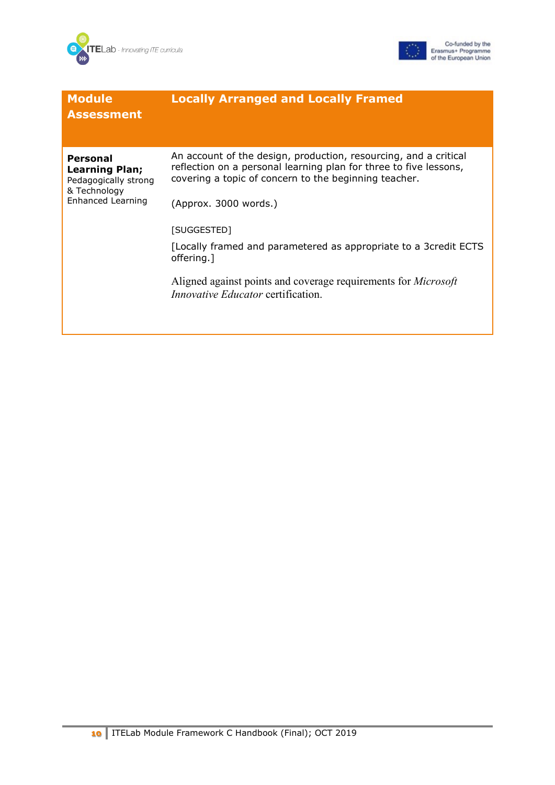



| <b>Module</b><br><b>Assessment</b>                                                             | <b>Locally Arranged and Locally Framed</b>                                                                                                                                                                              |
|------------------------------------------------------------------------------------------------|-------------------------------------------------------------------------------------------------------------------------------------------------------------------------------------------------------------------------|
| Personal<br><b>Learning Plan;</b><br>Pedagogically strong<br>& Technology<br>Enhanced Learning | An account of the design, production, resourcing, and a critical<br>reflection on a personal learning plan for three to five lessons,<br>covering a topic of concern to the beginning teacher.<br>(Approx. 3000 words.) |
|                                                                                                | [SUGGESTED]<br>[Locally framed and parametered as appropriate to a 3credit ECTS<br>offering.]<br>Aligned against points and coverage requirements for <i>Microsoft</i><br><i>Innovative Educator</i> certification.     |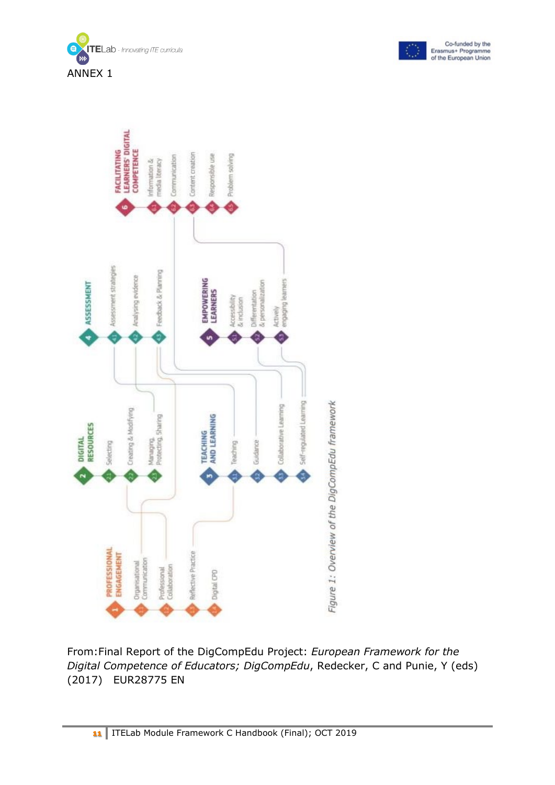





From:Final Report of the DigCompEdu Project: *European Framework for the Digital Competence of Educators; DigCompEdu*, Redecker, C and Punie, Y (eds) (2017) EUR28775 EN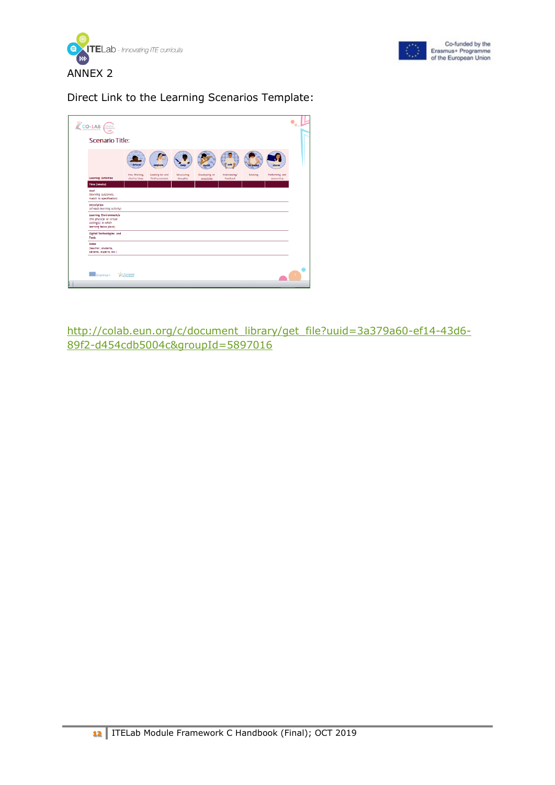



#### Direct Link to the Learning Scenarios Template:

| $\sum_{\text{CO-LAB}} \sqrt{\frac{C_{\text{cutoff}}}{\text{Lap}}}$                                 |                                 |                                    |                         |                             |                           |          |                              |
|----------------------------------------------------------------------------------------------------|---------------------------------|------------------------------------|-------------------------|-----------------------------|---------------------------|----------|------------------------------|
| <b>Scenario Title:</b>                                                                             |                                 |                                    |                         |                             |                           |          |                              |
|                                                                                                    | <b>dream</b>                    | explore                            |                         | mak                         |                           | e-mak    | show                         |
| <b>Learning Activities</b>                                                                         | Free thinking,<br>sharing ideas | Looking for and<br>finding content | Structuring<br>thoughts | Developing or<br>practising | Interviewing/<br>Feedback | Revising | Performing and<br>presenting |
| Time (weeks)                                                                                       |                                 |                                    |                         |                             |                           |          |                              |
| Goal<br>(learning outcomes,<br>match to specification)                                             |                                 |                                    |                         |                             |                           |          |                              |
| <b>Description</b><br>(of each learning activity)                                                  |                                 |                                    |                         |                             |                           |          |                              |
| Learning Environment/s<br>(the physical or virtual<br>setting(s) in which<br>learning takes place) |                                 |                                    |                         |                             |                           |          |                              |
| Digital Technologies and<br>Tools                                                                  |                                 |                                    |                         |                             |                           |          |                              |
| Roles<br>(teacher, students,<br>parents, experts, etc.)                                            |                                 |                                    |                         |                             |                           |          |                              |
|                                                                                                    |                                 |                                    |                         |                             |                           |          |                              |
| C Erasmus+                                                                                         | European                        |                                    |                         |                             |                           |          |                              |

[http://colab.eun.org/c/document\\_library/get\\_file?uuid=3a379a60-ef14-43d6-](http://colab.eun.org/c/document_library/get_file?uuid=3a379a60-ef14-43d6-89f2-d454cdb5004c&groupId=5897016) [89f2-d454cdb5004c&groupId=5897016](http://colab.eun.org/c/document_library/get_file?uuid=3a379a60-ef14-43d6-89f2-d454cdb5004c&groupId=5897016)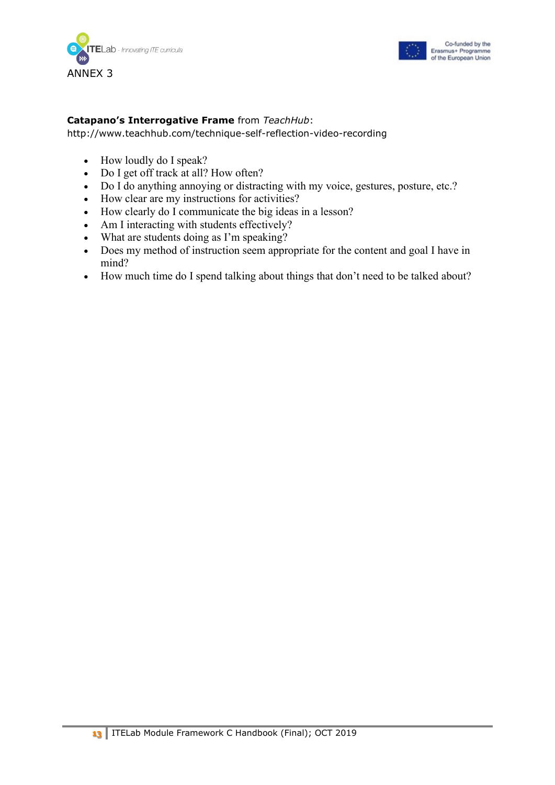



#### **Catapano's Interrogative Frame** from *TeachHub*:

http://www.teachhub.com/technique-self-reflection-video-recording

- How loudly do I speak?
- Do I get off track at all? How often?
- Do I do anything annoying or distracting with my voice, gestures, posture, etc.?
- How clear are my instructions for activities?
- How clearly do I communicate the big ideas in a lesson?
- Am I interacting with students effectively?
- What are students doing as I'm speaking?
- Does my method of instruction seem appropriate for the content and goal I have in mind?
- How much time do I spend talking about things that don't need to be talked about?